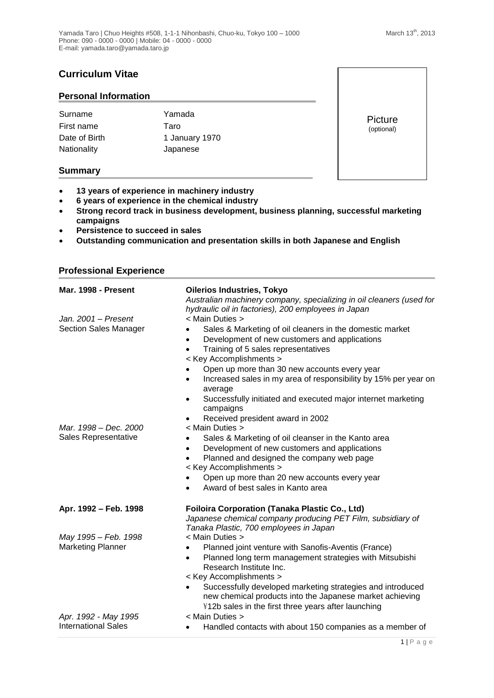# **Curriculum Vitae**

### **Personal Information**

| Surname       | Yamada         |
|---------------|----------------|
| First name    | Taro           |
| Date of Birth | 1 January 1970 |
| Nationality   | Japanese       |

**Summary**

- **13 years of experience in machinery industry**
- **6 years of experience in the chemical industry**
- **Strong record track in business development, business planning, successful marketing campaigns**
- **Persistence to succeed in sales**
- **Outstanding communication and presentation skills in both Japanese and English**

| Mar. 1998 - Present                                | <b>Oilerios Industries, Tokyo</b><br>Australian machinery company, specializing in oil cleaners (used for                                                                                                                                                                                                                                                                                                                               |
|----------------------------------------------------|-----------------------------------------------------------------------------------------------------------------------------------------------------------------------------------------------------------------------------------------------------------------------------------------------------------------------------------------------------------------------------------------------------------------------------------------|
| Jan. 2001 - Present<br>Section Sales Manager       | hydraulic oil in factories), 200 employees in Japan<br>< Main Duties ><br>Sales & Marketing of oil cleaners in the domestic market<br>$\bullet$<br>Development of new customers and applications<br>$\bullet$<br>Training of 5 sales representatives<br>$\bullet$<br>< Key Accomplishments ><br>Open up more than 30 new accounts every year<br>Increased sales in my area of responsibility by 15% per year on<br>$\bullet$<br>average |
|                                                    | Successfully initiated and executed major internet marketing<br>٠<br>campaigns<br>Received president award in 2002<br>$\bullet$                                                                                                                                                                                                                                                                                                         |
| Mar. 1998 – Dec. 2000<br>Sales Representative      | < Main Duties ><br>Sales & Marketing of oil cleanser in the Kanto area<br>$\bullet$<br>Development of new customers and applications<br>$\bullet$<br>Planned and designed the company web page<br>< Key Accomplishments ><br>Open up more than 20 new accounts every year<br>Award of best sales in Kanto area                                                                                                                          |
| Apr. 1992 - Feb. 1998                              | <b>Foiloira Corporation (Tanaka Plastic Co., Ltd)</b><br>Japanese chemical company producing PET Film, subsidiary of<br>Tanaka Plastic, 700 employees in Japan                                                                                                                                                                                                                                                                          |
| May 1995 - Feb. 1998<br><b>Marketing Planner</b>   | < Main Duties ><br>Planned joint venture with Sanofis-Aventis (France)<br>Planned long term management strategies with Mitsubishi<br>$\bullet$<br>Research Institute Inc.<br>< Key Accomplishments ><br>Successfully developed marketing strategies and introduced<br>new chemical products into the Japanese market achieving                                                                                                          |
| Apr. 1992 - May 1995<br><b>International Sales</b> | ¥12b sales in the first three years after launching<br>< Main Duties ><br>Handled contacts with about 150 companies as a member of                                                                                                                                                                                                                                                                                                      |

# **Professional Experience**

Picture (optional)